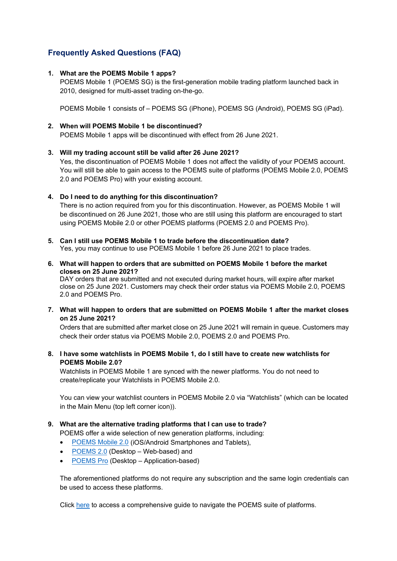# **Frequently Asked Questions (FAQ)**

## **1. What are the POEMS Mobile 1 apps?**

POEMS Mobile 1 (POEMS SG) is the first-generation mobile trading platform launched back in 2010, designed for multi-asset trading on-the-go.

POEMS Mobile 1 consists of – POEMS SG (iPhone), POEMS SG (Android), POEMS SG (iPad).

## **2. When will POEMS Mobile 1 be discontinued?**

POEMS Mobile 1 apps will be discontinued with effect from 26 June 2021.

## **3. Will my trading account still be valid after 26 June 2021?**

Yes, the discontinuation of POEMS Mobile 1 does not affect the validity of your POEMS account. You will still be able to gain access to the POEMS suite of platforms (POEMS Mobile 2.0, POEMS 2.0 and POEMS Pro) with your existing account.

## **4. Do I need to do anything for this discontinuation?**

There is no action required from you for this discontinuation. However, as POEMS Mobile 1 will be discontinued on 26 June 2021, those who are still using this platform are encouraged to start using POEMS Mobile 2.0 or other POEMS platforms (POEMS 2.0 and POEMS Pro).

- **5. Can I still use POEMS Mobile 1 to trade before the discontinuation date?** Yes, you may continue to use POEMS Mobile 1 before 26 June 2021 to place trades.
- **6. What will happen to orders that are submitted on POEMS Mobile 1 before the market closes on 25 June 2021?**

DAY orders that are submitted and not executed during market hours, will expire after market close on 25 June 2021. Customers may check their order status via POEMS Mobile 2.0, POEMS 2.0 and POEMS Pro.

**7. What will happen to orders that are submitted on POEMS Mobile 1 after the market closes on 25 June 2021?** 

Orders that are submitted after market close on 25 June 2021 will remain in queue. Customers may check their order status via POEMS Mobile 2.0, POEMS 2.0 and POEMS Pro.

**8. I have some watchlists in POEMS Mobile 1, do I still have to create new watchlists for POEMS Mobile 2.0?**

Watchlists in POEMS Mobile 1 are synced with the newer platforms. You do not need to create/replicate your Watchlists in POEMS Mobile 2.0.

You can view your watchlist counters in POEMS Mobile 2.0 via "Watchlists" (which can be located in the Main Menu (top left corner icon)).

## **9. What are the alternative trading platforms that I can use to trade?**

POEMS offer a wide selection of new generation platforms, including:

- [POEMS Mobile 2.0](https://www.poems.com.sg/platforms/poems-mobile/) (iOS/Android Smartphones and Tablets),
- [POEMS 2.0](https://www.poems.com.sg/platforms/poems-2-0/) (Desktop Web-based) and
- [POEMS Pro](https://www.poems.com.sg/platforms/poems-pro/) (Desktop Application-based)

The aforementioned platforms do not require any subscription and the same login credentials can be used to access these platforms.

Click [here](https://www.poems.com.sg/get-started-with-poems/) to access a comprehensive guide to navigate the POEMS suite of platforms.